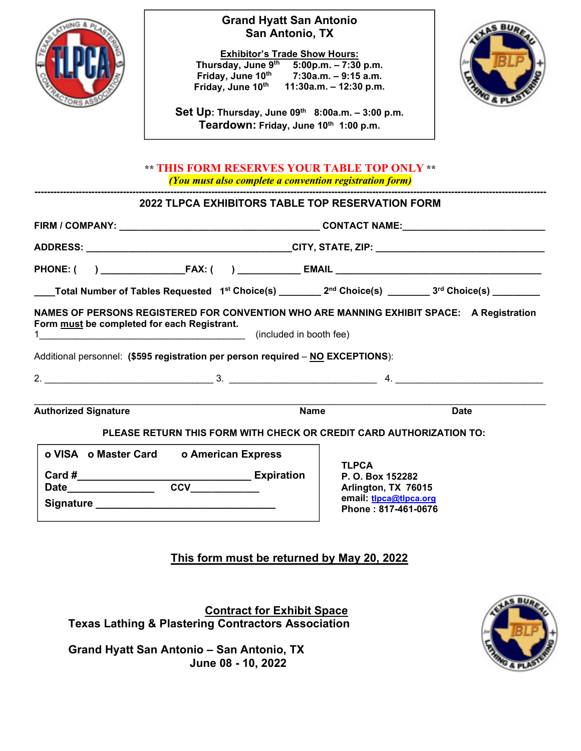

### **Grand Hyatt San Antonio San Antonio, TX**

**Exhibitor's Trade Show Hours: Thursday, June 9 th 5:00p.m. – 7:30 p.m. Friday, June 10th 7:30a.m. – 9:15 a.m. Friday, June 10th 11:30a.m. – 12:30 p.m.**



**Set Up: Thursday, June 09th 8:00a.m. – 3:00 p.m. Teardown: Friday, June 10th 1:00 p.m.**

### **\*\* THIS FORM RESERVES YOUR TABLE TOP ONLY \*\*** *(You must also complete a convention registration form)*

**------------------------------------------------------------------------------------------------------------------------------------------------------------------**

# **2022 TLPCA EXHIBITORS TABLE TOP RESERVATION FORM**

| ____Total Number of Tables Requested $\,$ 1st Choice(s) ________ 2 <sup>nd</sup> Choice(s) ________ 3 <sup>rd</sup> Choice(s) ________                                                                                     |                                                                                                          |  |  |
|----------------------------------------------------------------------------------------------------------------------------------------------------------------------------------------------------------------------------|----------------------------------------------------------------------------------------------------------|--|--|
| NAMES OF PERSONS REGISTERED FOR CONVENTION WHO ARE MANNING EXHIBIT SPACE: A Registration<br>Form must be completed for each Registrant.<br>Additional personnel: (\$595 registration per person required - NO EXCEPTIONS): |                                                                                                          |  |  |
|                                                                                                                                                                                                                            |                                                                                                          |  |  |
| <b>Authorized Signature</b><br><b>Name</b>                                                                                                                                                                                 | <b>Date</b>                                                                                              |  |  |
| PLEASE RETURN THIS FORM WITH CHECK OR CREDIT CARD AUTHORIZATION TO:                                                                                                                                                        |                                                                                                          |  |  |
| o VISA o Master Card o American Express<br>Date <b>CCV</b>                                                                                                                                                                 | <b>TLPCA</b><br>P. O. Box 152282<br>Arlington, TX 76015<br>email: tlpca@tlpca.org<br>Phone: 817-461-0676 |  |  |

## **This form must be returned by May 20, 2022**

 **Contract for Exhibit Space Texas Lathing & Plastering Contractors Association**

**Grand Hyatt San Antonio – San Antonio, TX June 08 - 10, 2022**